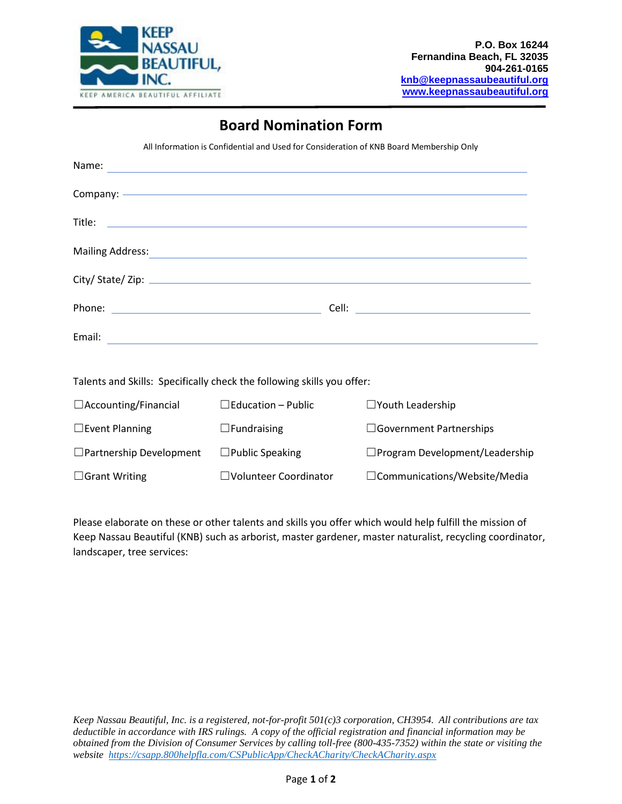

## **Board Nomination Form**

All Information is Confidential and Used for Consideration of KNB Board Membership Only

| Name:                                                                    |  |
|--------------------------------------------------------------------------|--|
|                                                                          |  |
|                                                                          |  |
| <b>Mailing Address:</b><br><u> 1980 - Andrea Andrew Maria (h. 1980).</u> |  |
|                                                                          |  |
|                                                                          |  |
| Email:                                                                   |  |
|                                                                          |  |

Talents and Skills: Specifically check the following skills you offer:

| $\Box$ Accounting/Financial    | $\Box$ Education – Public | $\Box$ Youth Leadership               |
|--------------------------------|---------------------------|---------------------------------------|
| $\Box$ Event Planning          | $\Box$ Fundraising        | $\Box$ Government Partnerships        |
| $\Box$ Partnership Development | $\Box$ Public Speaking    | $\Box$ Program Development/Leadership |
| $\Box$ Grant Writing           | □Volunteer Coordinator    | □Communications/Website/Media         |

Please elaborate on these or other talents and skills you offer which would help fulfill the mission of Keep Nassau Beautiful (KNB) such as arborist, master gardener, master naturalist, recycling coordinator, landscaper, tree services:

*Keep Nassau Beautiful, Inc. is a registered, not-for-profit 501(c)3 corporation, CH3954. All contributions are tax deductible in accordance with IRS rulings. A copy of the official registration and financial information may be obtained from the Division of Consumer Services by calling toll-free (800-435-7352) within the state or visiting the website <https://csapp.800helpfla.com/CSPublicApp/CheckACharity/CheckACharity.aspx>*